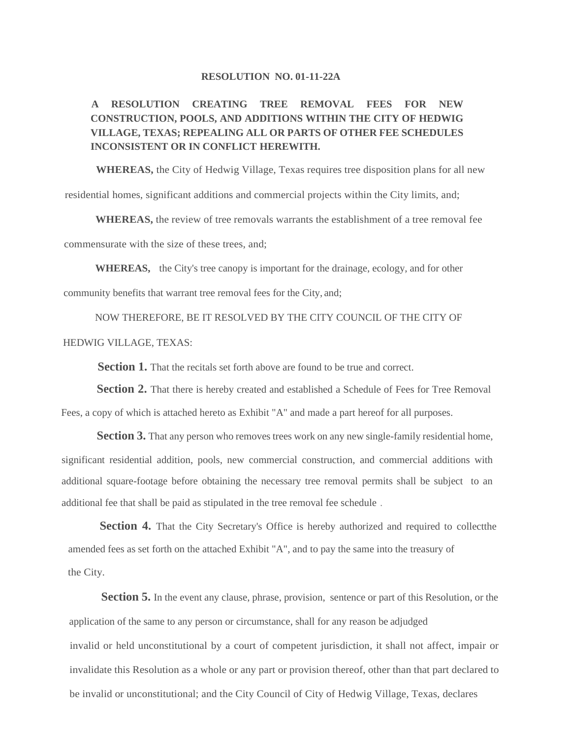## **RESOLUTION NO. 01-11-22A**

## **A RESOLUTION CREATING TREE REMOVAL FEES FOR NEW CONSTRUCTION, POOLS, AND ADDITIONS WITHIN THE CITY OF HEDWIG VILLAGE, TEXAS; REPEALING ALL OR PARTS OF OTHER FEE SCHEDULES INCONSISTENT OR IN CONFLICT HEREWITH.**

**WHEREAS,** the City of Hedwig Village, Texas requires tree disposition plans for all new

residential homes, significant additions and commercial projects within the City limits, and;

**WHEREAS,** the review of tree removals warrants the establishment of a tree removal fee commensurate with the size of these trees, and;

**WHEREAS,** the City's tree canopy is important for the drainage, ecology, and for other community benefits that warrant tree removal fees for the City, and;

NOW THEREFORE, BE IT RESOLVED BY THE CITY COUNCIL OF THE CITY OF HEDWIG VILLAGE, TEXAS:

**Section 1.** That the recitals set forth above are found to be true and correct.

**Section 2.** That there is hereby created and established a Schedule of Fees for Tree Removal Fees, a copy of which is attached hereto as Exhibit "A" and made a part hereof for all purposes.

**Section 3.** That any person who removes trees work on any new single-family residential home, significant residential addition, pools, new commercial construction, and commercial additions with additional square-footage before obtaining the necessary tree removal permits shall be subject to an additional fee that shall be paid as stipulated in the tree removal fee schedule .

**Section 4.** That the City Secretary's Office is hereby authorized and required to collectthe amended fees as set forth on the attached Exhibit "A", and to pay the same into the treasury of the City.

**Section 5.** In the event any clause, phrase, provision, sentence or part of this Resolution, or the application of the same to any person or circumstance, shall for any reason be adjudged invalid or held unconstitutional by a court of competent jurisdiction, it shall not affect, impair or invalidate this Resolution as a whole or any part or provision thereof, other than that part declared to be invalid or unconstitutional; and the City Council of City of Hedwig Village, Texas, declares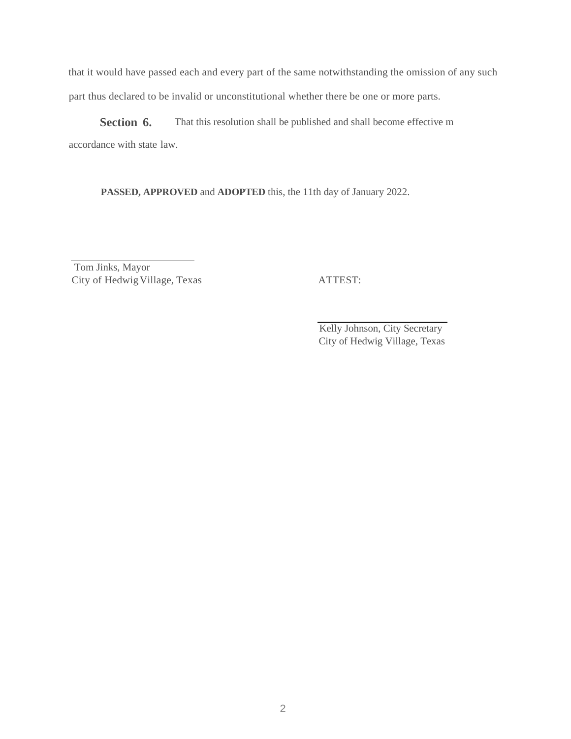that it would have passed each and every part of the same notwithstanding the omission of any such part thus declared to be invalid or unconstitutional whether there be one or more parts.

**Section 6.** That this resolution shall be published and shall become effective m accordance with state law.

**PASSED, APPROVED** and **ADOPTED** this, the 11th day of January 2022.

Tom Jinks, Mayor City of HedwigVillage, Texas ATTEST:

Kelly Johnson, City Secretary City of Hedwig Village, Texas